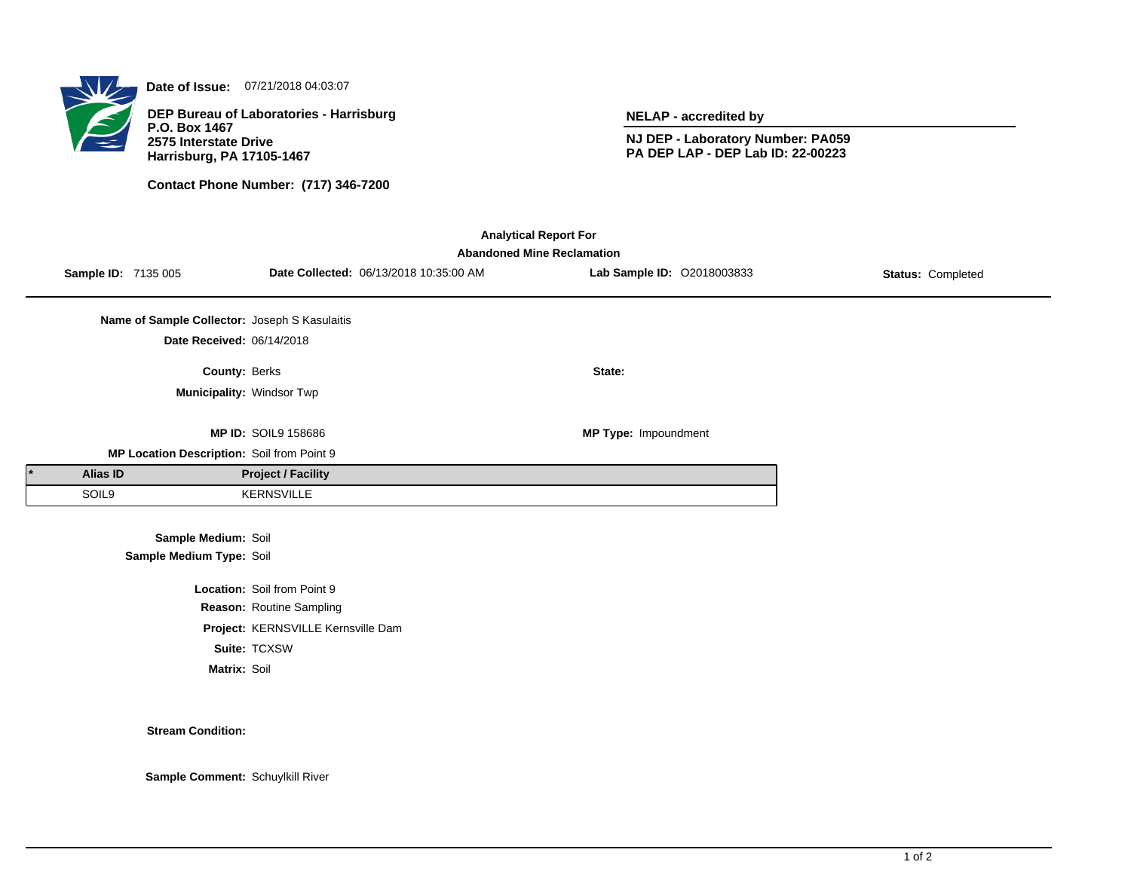

**Date of Issue:** 07/21/2018 04:03:07

**DEP Bureau of Laboratories - Harrisburg P.O. Box 1467 2575 Interstate Drive Harrisburg, PA 17105-1467**

**Contact Phone Number: (717) 346-7200**

**NELAP - accredited by**

**NJ DEP - Laboratory Number: PA059 PA DEP LAP - DEP Lab ID: 22-00223**

| <b>Analytical Report For</b> |                                   |                                               |                                    |                                        |                            |                   |  |  |  |  |  |
|------------------------------|-----------------------------------|-----------------------------------------------|------------------------------------|----------------------------------------|----------------------------|-------------------|--|--|--|--|--|
|                              | <b>Abandoned Mine Reclamation</b> |                                               |                                    |                                        |                            |                   |  |  |  |  |  |
|                              | Sample ID: 7135 005               |                                               |                                    | Date Collected: 06/13/2018 10:35:00 AM | Lab Sample ID: 02018003833 | Status: Completed |  |  |  |  |  |
|                              |                                   |                                               |                                    |                                        |                            |                   |  |  |  |  |  |
|                              |                                   | Name of Sample Collector: Joseph S Kasulaitis |                                    |                                        |                            |                   |  |  |  |  |  |
|                              |                                   | Date Received: 06/14/2018                     |                                    |                                        |                            |                   |  |  |  |  |  |
|                              |                                   | County: Berks                                 |                                    |                                        | State:                     |                   |  |  |  |  |  |
|                              |                                   | Municipality: Windsor Twp                     |                                    |                                        |                            |                   |  |  |  |  |  |
|                              |                                   |                                               |                                    |                                        |                            |                   |  |  |  |  |  |
|                              |                                   |                                               | <b>MP ID: SOIL9 158686</b>         |                                        | MP Type: Impoundment       |                   |  |  |  |  |  |
|                              |                                   | MP Location Description: Soil from Point 9    |                                    |                                        |                            |                   |  |  |  |  |  |
|                              | <b>Alias ID</b>                   |                                               | <b>Project / Facility</b>          |                                        |                            |                   |  |  |  |  |  |
|                              | SOIL9                             |                                               | <b>KERNSVILLE</b>                  |                                        |                            |                   |  |  |  |  |  |
|                              |                                   |                                               |                                    |                                        |                            |                   |  |  |  |  |  |
|                              |                                   | Sample Medium: Soil                           |                                    |                                        |                            |                   |  |  |  |  |  |
|                              |                                   | Sample Medium Type: Soil                      |                                    |                                        |                            |                   |  |  |  |  |  |
|                              |                                   |                                               | Location: Soil from Point 9        |                                        |                            |                   |  |  |  |  |  |
|                              |                                   |                                               | Reason: Routine Sampling           |                                        |                            |                   |  |  |  |  |  |
|                              |                                   |                                               | Project: KERNSVILLE Kernsville Dam |                                        |                            |                   |  |  |  |  |  |
|                              |                                   |                                               | Suite: TCXSW                       |                                        |                            |                   |  |  |  |  |  |
|                              |                                   | Matrix: Soil                                  |                                    |                                        |                            |                   |  |  |  |  |  |

## **Stream Condition:**

**Sample Comment:** Schuylkill River